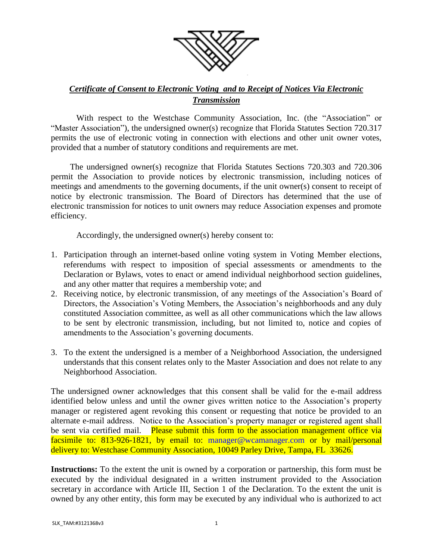

## *Certificate of Consent to Electronic Voting and to Receipt of Notices Via Electronic Transmission*

With respect to the Westchase Community Association, Inc. (the "Association" or "Master Association"), the undersigned owner(s) recognize that Florida Statutes Section 720.317 permits the use of electronic voting in connection with elections and other unit owner votes, provided that a number of statutory conditions and requirements are met.

The undersigned owner(s) recognize that Florida Statutes Sections 720.303 and 720.306 permit the Association to provide notices by electronic transmission, including notices of meetings and amendments to the governing documents, if the unit owner(s) consent to receipt of notice by electronic transmission. The Board of Directors has determined that the use of electronic transmission for notices to unit owners may reduce Association expenses and promote efficiency.

Accordingly, the undersigned owner(s) hereby consent to:

- 1. Participation through an internet-based online voting system in Voting Member elections, referendums with respect to imposition of special assessments or amendments to the Declaration or Bylaws, votes to enact or amend individual neighborhood section guidelines, and any other matter that requires a membership vote; and
- 2. Receiving notice, by electronic transmission, of any meetings of the Association's Board of Directors, the Association's Voting Members, the Association's neighborhoods and any duly constituted Association committee, as well as all other communications which the law allows to be sent by electronic transmission, including, but not limited to, notice and copies of amendments to the Association's governing documents.
- 3. To the extent the undersigned is a member of a Neighborhood Association, the undersigned understands that this consent relates only to the Master Association and does not relate to any Neighborhood Association.

The undersigned owner acknowledges that this consent shall be valid for the e-mail address identified below unless and until the owner gives written notice to the Association's property manager or registered agent revoking this consent or requesting that notice be provided to an alternate e-mail address. Notice to the Association's property manager or registered agent shall be sent via certified mail. Please submit this form to the association management office via facsimile to: 813-926-1821, by email to: [manager@wcamanager.com](mailto:manager@wcamanager.com) or by mail/personal delivery to: Westchase Community Association, 10049 Parley Drive, Tampa, FL 33626.

**Instructions:** To the extent the unit is owned by a corporation or partnership, this form must be executed by the individual designated in a written instrument provided to the Association secretary in accordance with Article III, Section 1 of the Declaration. To the extent the unit is owned by any other entity, this form may be executed by any individual who is authorized to act